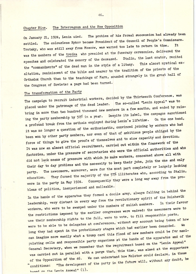## The Interregnum and the New Opposition Chapter Nine.

The problem of his formal succession had already been On January 21, 1924, Lenin aied. The colourless Rykov became President of the Council of People's Commissars. settled. Trotsky, who was still away from Moscow, was warned too late to return in time. **Tt** was the members of the troika who presided at the funerary ceremonies, delivered the speeches and celebrated the memory of the deceased. Stalin, the last orator, recited the "commandments" of the dead man in the style of a litany. This almost mystical exaltation, reminiscent of the bible and nearer to the tradition of the priests of the Orthodox Church than to the teachings of Marx, sounded strangely in the great hall of the Congress of Soviets: a page had been turned.

## The transformation of the Party

The campaign to recruit industrial workers, decided by the Thirteenth Conference, was placed under the patronage of the dead leader. The so-called "Lenin Appeal" was to bring in more than two hundred thousand new members in a few months, and ended by raising the party membership by 50% in a year. Despite its label, the campagne sanctioned On the one hand, a profound break from the methods employed during Lenin's lifetime. it was no longer a question of the enthusiastic, convinced joining by workers who had been won by other party members, nor even of that of ambitious people obliged by the force of things to give the proofs of themselves and to show capacity and devotion. It was now an almost official recruitment, carried out within the framework of the factories, under the pressure of secretaries who were the official authorities and who did not lack means of pressure with which to make workers, concerned above all with their day to day problems and the necessity to keep their jobs, join the one and only party. The newcomers, moreover, were for the most part completely or largely lacking education. They formed the majority of the 57% illiterates who, according to Stalin, were in the party in May 1924. Consequently they were a long way away from the problems of politics, inexperienced and malleable.

In the hands of the apparatus they formed a docile army, always falling in behind the leadership, very distant in every way from the revolutionary spirit of the Bolshevik In their favour workers, who were to be swamped under the numbers of mulish members. the restrictions imposed by the earlier congresses were waived: the newcomers were to use their membership rights to the full, were to vote, to fill responsible posts, were to be able to be delegates at conferences, without any account being taken of how long they had spent in the probationary stages which had earlier been demanded. can imagine more easily what a trump card this flood of new members could be for manipulating cells and responsible party organisms at the hands of the apparatus and of the General Secretary, when we remember that the recruitment based on the "Lenin Appeal" was carried out in parallel with a purge that, this time, was aimed at the supporters of the Opposition of the 46. We can understand how Molotov could declare, in these "The development of the party in the future will, without any doubt, be conditions: head on the Lenin Appeal" (1).

46.